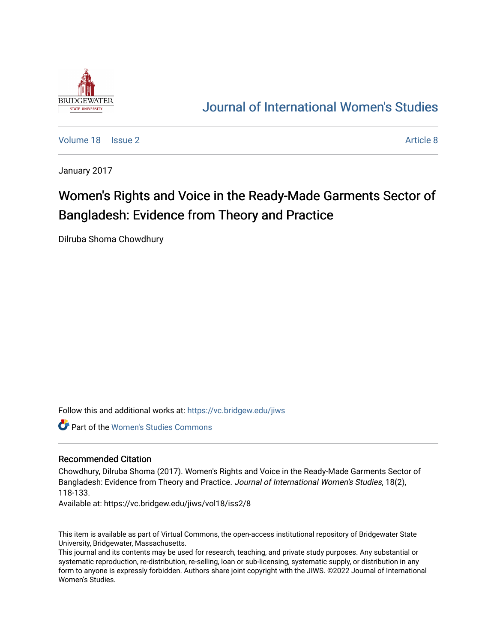

## [Journal of International Women's Studies](https://vc.bridgew.edu/jiws)

[Volume 18](https://vc.bridgew.edu/jiws/vol18) | [Issue 2](https://vc.bridgew.edu/jiws/vol18/iss2) Article 8

January 2017

# Women's Rights and Voice in the Ready-Made Garments Sector of Bangladesh: Evidence from Theory and Practice

Dilruba Shoma Chowdhury

Follow this and additional works at: [https://vc.bridgew.edu/jiws](https://vc.bridgew.edu/jiws?utm_source=vc.bridgew.edu%2Fjiws%2Fvol18%2Fiss2%2F8&utm_medium=PDF&utm_campaign=PDFCoverPages)

Part of the [Women's Studies Commons](http://network.bepress.com/hgg/discipline/561?utm_source=vc.bridgew.edu%2Fjiws%2Fvol18%2Fiss2%2F8&utm_medium=PDF&utm_campaign=PDFCoverPages) 

#### Recommended Citation

Chowdhury, Dilruba Shoma (2017). Women's Rights and Voice in the Ready-Made Garments Sector of Bangladesh: Evidence from Theory and Practice. Journal of International Women's Studies, 18(2), 118-133.

Available at: https://vc.bridgew.edu/jiws/vol18/iss2/8

This item is available as part of Virtual Commons, the open-access institutional repository of Bridgewater State University, Bridgewater, Massachusetts.

This journal and its contents may be used for research, teaching, and private study purposes. Any substantial or systematic reproduction, re-distribution, re-selling, loan or sub-licensing, systematic supply, or distribution in any form to anyone is expressly forbidden. Authors share joint copyright with the JIWS. ©2022 Journal of International Women's Studies.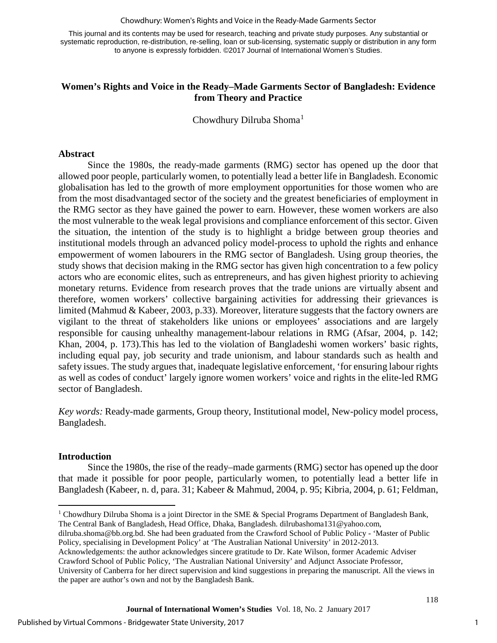Chowdhury: Women's Rights and Voice in the Ready-Made Garments Sector

This journal and its contents may be used for research, teaching and private study purposes. Any substantial or systematic reproduction, re-distribution, re-selling, loan or sub-licensing, systematic supply or distribution in any form to anyone is expressly forbidden. ©2017 Journal of International Women's Studies.

## **Women's Rights and Voice in the Ready–Made Garments Sector of Bangladesh: Evidence from Theory and Practice**

Chowdhury Dilruba Shoma<sup>[1](#page-1-0)</sup>

## **Abstract**

Since the 1980s, the ready-made garments (RMG) sector has opened up the door that allowed poor people, particularly women, to potentially lead a better life in Bangladesh. Economic globalisation has led to the growth of more employment opportunities for those women who are from the most disadvantaged sector of the society and the greatest beneficiaries of employment in the RMG sector as they have gained the power to earn. However, these women workers are also the most vulnerable to the weak legal provisions and compliance enforcement of this sector. Given the situation, the intention of the study is to highlight a bridge between group theories and institutional models through an advanced policy model-process to uphold the rights and enhance empowerment of women labourers in the RMG sector of Bangladesh. Using group theories, the study shows that decision making in the RMG sector has given high concentration to a few policy actors who are economic elites, such as entrepreneurs, and has given highest priority to achieving monetary returns. Evidence from research proves that the trade unions are virtually absent and therefore, women workers' collective bargaining activities for addressing their grievances is limited (Mahmud & Kabeer, 2003, p.33). Moreover, literature suggests that the factory owners are vigilant to the threat of stakeholders like unions or employees' associations and are largely responsible for causing unhealthy management-labour relations in RMG (Afsar, 2004, p. 142; Khan, 2004, p. 173).This has led to the violation of Bangladeshi women workers' basic rights, including equal pay, job security and trade unionism, and labour standards such as health and safety issues. The study argues that, inadequate legislative enforcement, 'for ensuring labour rights as well as codes of conduct' largely ignore women workers' voice and rights in the elite-led RMG sector of Bangladesh.

*Key words:* Ready-made garments, Group theory, Institutional model, New-policy model process, Bangladesh.

## **Introduction**

 $\overline{\phantom{a}}$ 

Since the 1980s, the rise of the ready–made garments (RMG) sector has opened up the door that made it possible for poor people, particularly women, to potentially lead a better life in Bangladesh (Kabeer, n. d, para. 31; Kabeer & Mahmud, 2004, p. 95; Kibria, 2004, p. 61; Feldman,

- [dilruba.shoma@bb.org.bd.](mailto:dilruba.shoma@bb.org.bd) She had been graduated from the Crawford School of Public Policy 'Master of Public Policy, specialising in Development Policy' at 'The Australian National University' in 2012-2013.
- Acknowledgements: the author acknowledges sincere gratitude to Dr. Kate Wilson, former Academic Adviser Crawford School of Public Policy, 'The Australian National University' and Adjunct Associate Professor, University of Canberra for her direct supervision and kind suggestions in preparing the manuscript. All the views in the paper are author's own and not by the Bangladesh Bank.

<span id="page-1-0"></span><sup>&</sup>lt;sup>1</sup> Chowdhury Dilruba Shoma is a joint Director in the SME & Special Programs Department of Bangladesh Bank, The Central Bank of Bangladesh, Head Office, Dhaka, Bangladesh. dilrubashoma131@yahoo.com,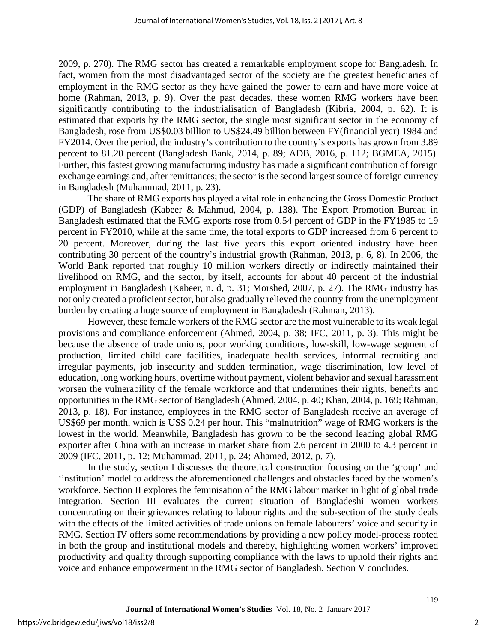2009, p. 270). The RMG sector has created a remarkable employment scope for Bangladesh. In fact, women from the most disadvantaged sector of the society are the greatest beneficiaries of employment in the RMG sector as they have gained the power to earn and have more voice at home (Rahman, 2013, p. 9). Over the past decades, these women RMG workers have been significantly contributing to the industrialisation of Bangladesh (Kibria, 2004, p. 62). It is estimated that exports by the RMG sector, the single most significant sector in the economy of Bangladesh, rose from US\$0.03 billion to US\$24.49 billion between FY(financial year) 1984 and FY2014. Over the period, the industry's contribution to the country's exports has grown from 3.89 percent to 81.20 percent (Bangladesh Bank, 2014, p. 89; ADB, 2016, p. 112; BGMEA, 2015). Further, this fastest growing manufacturing industry has made a significant contribution of foreign exchange earnings and, after remittances; the sector is the second largest source of foreign currency in Bangladesh (Muhammad, 2011, p. 23).

The share of RMG exports has played a vital role in enhancing the Gross Domestic Product (GDP) of Bangladesh (Kabeer & Mahmud, 2004, p. 138). The Export Promotion Bureau in Bangladesh estimated that the RMG exports rose from 0.54 percent of GDP in the FY1985 to 19 percent in FY2010, while at the same time, the total exports to GDP increased from 6 percent to 20 percent. Moreover, during the last five years this export oriented industry have been contributing 30 percent of the country's industrial growth (Rahman, 2013, p. 6, 8). In 2006, the World Bank reported that roughly 10 million workers directly or indirectly maintained their livelihood on RMG, and the sector, by itself, accounts for about 40 percent of the industrial employment in Bangladesh (Kabeer, n. d, p. 31; Morshed, 2007, p. 27). The RMG industry has not only created a proficient sector, but also gradually relieved the country from the unemployment burden by creating a huge source of employment in Bangladesh (Rahman, 2013).

However, these female workers of the RMG sector are the most vulnerable to its weak legal provisions and compliance enforcement (Ahmed, 2004, p. 38; IFC, 2011, p. 3). This might be because the absence of trade unions, poor working conditions, low-skill, low-wage segment of production, limited child care facilities, inadequate health services, informal recruiting and irregular payments, job insecurity and sudden termination, wage discrimination, low level of education, long working hours, overtime without payment, violent behavior and sexual harassment worsen the vulnerability of the female workforce and that undermines their rights, benefits and opportunities in the RMG sector of Bangladesh (Ahmed, 2004, p. 40; Khan, 2004, p. 169; Rahman, 2013, p. 18). For instance, employees in the RMG sector of Bangladesh receive an average of US\$69 per month, which is US\$ 0.24 per hour. This "malnutrition" wage of RMG workers is the lowest in the world. Meanwhile, Bangladesh has grown to be the second leading global RMG exporter after China with an increase in market share from 2.6 percent in 2000 to 4.3 percent in 2009 (IFC, 2011, p. 12; Muhammad, 2011, p. 24; Ahamed, 2012, p. 7).

In the study, section I discusses the theoretical construction focusing on the 'group' and 'institution' model to address the aforementioned challenges and obstacles faced by the women's workforce. Section II explores the feminisation of the RMG labour market in light of global trade integration. Section III evaluates the current situation of Bangladeshi women workers concentrating on their grievances relating to labour rights and the sub-section of the study deals with the effects of the limited activities of trade unions on female labourers' voice and security in RMG. Section IV offers some recommendations by providing a new policy model-process rooted in both the group and institutional models and thereby, highlighting women workers' improved productivity and quality through supporting compliance with the laws to uphold their rights and voice and enhance empowerment in the RMG sector of Bangladesh. Section V concludes.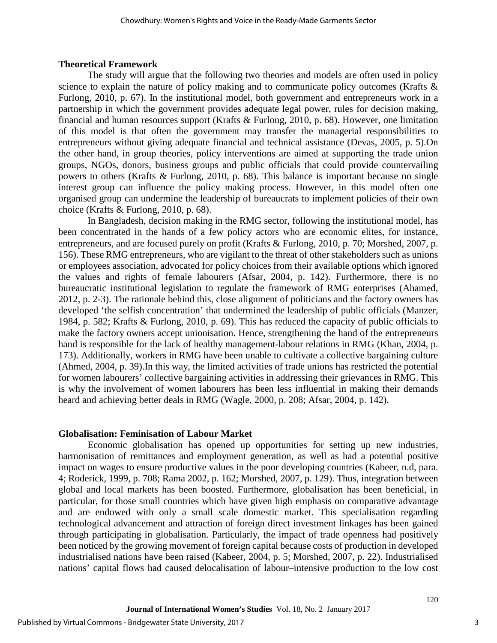#### **Theoretical Framework**

The study will argue that the following two theories and models are often used in policy science to explain the nature of policy making and to communicate policy outcomes (Krafts  $\&$ Furlong, 2010, p. 67). In the institutional model, both government and entrepreneurs work in a partnership in which the government provides adequate legal power, rules for decision making, financial and human resources support (Krafts & Furlong, 2010, p. 68). However, one limitation of this model is that often the government may transfer the managerial responsibilities to entrepreneurs without giving adequate financial and technical assistance (Devas, 2005, p. 5).On the other hand, in group theories, policy interventions are aimed at supporting the trade union groups, NGOs, donors, business groups and public officials that could provide countervailing powers to others (Krafts & Furlong, 2010, p. 68). This balance is important because no single interest group can influence the policy making process. However, in this model often one organised group can undermine the leadership of bureaucrats to implement policies of their own choice (Krafts & Furlong, 2010, p. 68).

In Bangladesh, decision making in the RMG sector, following the institutional model, has been concentrated in the hands of a few policy actors who are economic elites, for instance, entrepreneurs, and are focused purely on profit (Krafts & Furlong, 2010, p. 70; Morshed, 2007, p. 156). These RMG entrepreneurs, who are vigilant to the threat of other stakeholders such as unions or employees association, advocated for policy choices from their available options which ignored the values and rights of female labourers (Afsar, 2004, p. 142). Furthermore, there is no bureaucratic institutional legislation to regulate the framework of RMG enterprises (Ahamed, 2012, p. 2-3). The rationale behind this, close alignment of politicians and the factory owners has developed 'the selfish concentration' that undermined the leadership of public officials (Manzer, 1984, p. 582; Krafts & Furlong, 2010, p. 69). This has reduced the capacity of public officials to make the factory owners accept unionisation. Hence, strengthening the hand of the entrepreneurs hand is responsible for the lack of healthy management-labour relations in RMG (Khan, 2004, p. 173). Additionally, workers in RMG have been unable to cultivate a collective bargaining culture (Ahmed, 2004, p. 39).In this way, the limited activities of trade unions has restricted the potential for women labourers' collective bargaining activities in addressing their grievances in RMG. This is why the involvement of women labourers has been less influential in making their demands heard and achieving better deals in RMG (Wagle, 2000, p. 208; Afsar, 2004, p. 142).

#### **Globalisation: Feminisation of Labour Market**

Economic globalisation has opened up opportunities for setting up new industries, harmonisation of remittances and employment generation, as well as had a potential positive impact on wages to ensure productive values in the poor developing countries (Kabeer, n.d, para. 4; Roderick, 1999, p. 708; Rama 2002, p. 162; Morshed, 2007, p. 129). Thus, integration between global and local markets has been boosted. Furthermore, globalisation has been beneficial, in particular, for those small countries which have given high emphasis on comparative advantage and are endowed with only a small scale domestic market. This specialisation regarding technological advancement and attraction of foreign direct investment linkages has been gained through participating in globalisation. Particularly, the impact of trade openness had positively been noticed by the growing movement of foreign capital because costs of production in developed industrialised nations have been raised (Kabeer, 2004, p. 5; Morshed, 2007, p. 22). Industrialised nations' capital flows had caused delocalisation of labour–intensive production to the low cost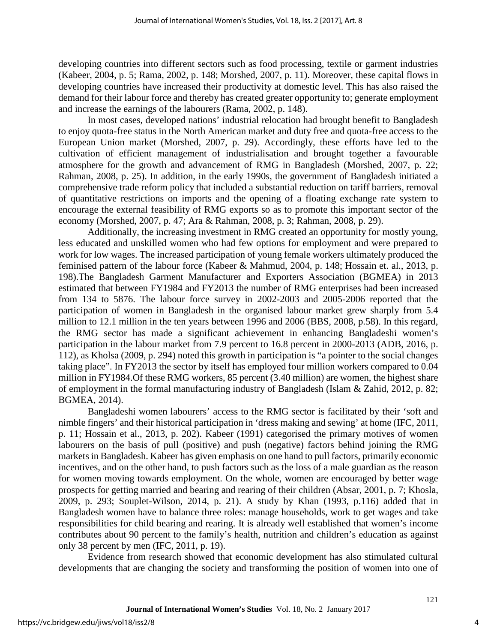developing countries into different sectors such as food processing, textile or garment industries (Kabeer, 2004, p. 5; Rama, 2002, p. 148; Morshed, 2007, p. 11). Moreover, these capital flows in developing countries have increased their productivity at domestic level. This has also raised the demand for their labour force and thereby has created greater opportunity to; generate employment and increase the earnings of the labourers (Rama, 2002, p. 148).

In most cases, developed nations' industrial relocation had brought benefit to Bangladesh to enjoy quota-free status in the North American market and duty free and quota-free access to the European Union market (Morshed, 2007, p. 29). Accordingly, these efforts have led to the cultivation of efficient management of industrialisation and brought together a favourable atmosphere for the growth and advancement of RMG in Bangladesh (Morshed, 2007, p. 22; Rahman, 2008, p. 25). In addition, in the early 1990s, the government of Bangladesh initiated a comprehensive trade reform policy that included a substantial reduction on tariff barriers, removal of quantitative restrictions on imports and the opening of a floating exchange rate system to encourage the external feasibility of RMG exports so as to promote this important sector of the economy (Morshed, 2007, p. 47; Ara & Rahman, 2008, p. 3; Rahman, 2008, p. 29).

Additionally, the increasing investment in RMG created an opportunity for mostly young, less educated and unskilled women who had few options for employment and were prepared to work for low wages. The increased participation of young female workers ultimately produced the feminised pattern of the labour force (Kabeer & Mahmud, 2004, p. 148; Hossain et. al., 2013, p. 198).The Bangladesh Garment Manufacturer and Exporters Association (BGMEA) in 2013 estimated that between FY1984 and FY2013 the number of RMG enterprises had been increased from 134 to 5876. The labour force survey in 2002-2003 and 2005-2006 reported that the participation of women in Bangladesh in the organised labour market grew sharply from 5.4 million to 12.1 million in the ten years between 1996 and 2006 (BBS, 2008, p.58). In this regard, the RMG sector has made a significant achievement in enhancing Bangladeshi women's participation in the labour market from 7.9 percent to 16.8 percent in 2000-2013 (ADB, 2016, p. 112), as Kholsa (2009, p. 294) noted this growth in participation is "a pointer to the social changes taking place". In FY2013 the sector by itself has employed four million workers compared to 0.04 million in FY1984.Of these RMG workers, 85 percent (3.40 million) are women, the highest share of employment in the formal manufacturing industry of Bangladesh (Islam & Zahid, 2012, p. 82; BGMEA, 2014).

Bangladeshi women labourers' access to the RMG sector is facilitated by their 'soft and nimble fingers' and their historical participation in 'dress making and sewing' at home (IFC, 2011, p. 11; Hossain et al., 2013, p. 202). Kabeer (1991) categorised the primary motives of women labourers on the basis of pull (positive) and push (negative) factors behind joining the RMG markets in Bangladesh. Kabeer has given emphasis on one hand to pull factors, primarily economic incentives, and on the other hand, to push factors such as the loss of a male guardian as the reason for women moving towards employment. On the whole, women are encouraged by better wage prospects for getting married and bearing and rearing of their children (Absar, 2001, p. 7; Khosla, 2009, p. 293; Souplet-Wilson, 2014, p. 21). A study by Khan (1993, p.116) added that in Bangladesh women have to balance three roles: manage households, work to get wages and take responsibilities for child bearing and rearing. It is already well established that women's income contributes about 90 percent to the family's health, nutrition and children's education as against only 38 percent by men (IFC, 2011, p. 19).

Evidence from research showed that economic development has also stimulated cultural developments that are changing the society and transforming the position of women into one of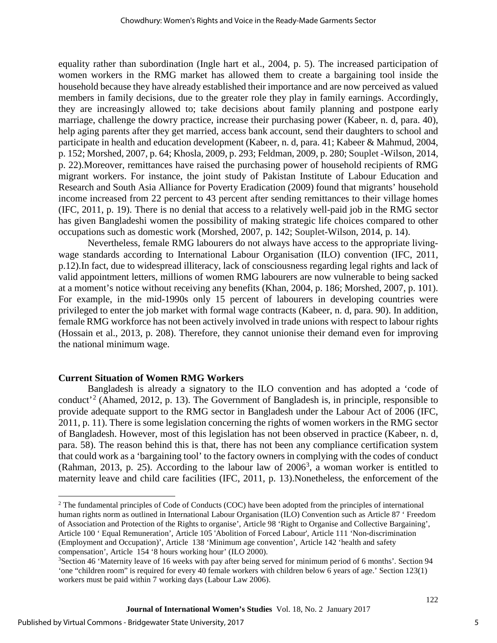equality rather than subordination (Ingle hart et al., 2004, p. 5). The increased participation of women workers in the RMG market has allowed them to create a bargaining tool inside the household because they have already established their importance and are now perceived as valued members in family decisions, due to the greater role they play in family earnings. Accordingly, they are increasingly allowed to; take decisions about family planning and postpone early marriage, challenge the dowry practice, increase their purchasing power (Kabeer, n. d, para. 40), help aging parents after they get married, access bank account, send their daughters to school and participate in health and education development (Kabeer, n. d, para. 41; Kabeer & Mahmud, 2004, p. 152; Morshed, 2007, p. 64; Khosla, 2009, p. 293; Feldman, 2009, p. 280; Souplet -Wilson, 2014, p. 22).Moreover, remittances have raised the purchasing power of household recipients of RMG migrant workers. For instance, the joint study of Pakistan Institute of Labour Education and Research and South Asia Alliance for Poverty Eradication (2009) found that migrants' household income increased from 22 percent to 43 percent after sending remittances to their village homes (IFC, 2011, p. 19). There is no denial that access to a relatively well-paid job in the RMG sector has given Bangladeshi women the possibility of making strategic life choices compared to other occupations such as domestic work (Morshed, 2007, p. 142; Souplet-Wilson, 2014, p. 14).

Nevertheless, female RMG labourers do not always have access to the appropriate livingwage standards according to International Labour Organisation (ILO) convention (IFC, 2011, p.12).In fact, due to widespread illiteracy, lack of consciousness regarding legal rights and lack of valid appointment letters, millions of women RMG labourers are now vulnerable to being sacked at a moment's notice without receiving any benefits (Khan, 2004, p. 186; Morshed, 2007, p. 101). For example, in the mid-1990s only 15 percent of labourers in developing countries were privileged to enter the job market with formal wage contracts (Kabeer, n. d, para. 90). In addition, female RMG workforce has not been actively involved in trade unions with respect to labour rights (Hossain et al., 2013, p. 208). Therefore, they cannot unionise their demand even for improving the national minimum wage.

#### **Current Situation of Women RMG Workers**

Bangladesh is already a signatory to the ILO convention and has adopted a 'code of conduct<sup>[2](#page-5-0)</sup> (Ahamed, 2012, p. 13). The Government of Bangladesh is, in principle, responsible to provide adequate support to the RMG sector in Bangladesh under the Labour Act of 2006 (IFC, 2011, p. 11). There is some legislation concerning the rights of women workers in the RMG sector of Bangladesh. However, most of this legislation has not been observed in practice (Kabeer, n. d, para. 58). The reason behind this is that, there has not been any compliance certification system that could work as a 'bargaining tool' to the factory owners in complying with the codes of conduct (Rahman, 201[3](#page-5-1), p. 25). According to the labour law of  $2006^3$ , a woman worker is entitled to maternity leave and child care facilities (IFC, 2011, p. 13).Nonetheless, the enforcement of the

 $\overline{\phantom{a}}$ 

<span id="page-5-0"></span><sup>&</sup>lt;sup>2</sup> The fundamental principles of Code of Conducts (COC) have been adopted from the principles of international human rights norm as outlined in International Labour Organisation (ILO) Convention such as Article 87 ' Freedom of Association and Protection of the Rights to organise', Article 98 'Right to Organise and Collective Bargaining', Article 100 ' Equal Remuneration', Article 105 'Abolition of Forced Labour', Article 111 'Non-discrimination (Employment and Occupation)', Article 138 'Minimum age convention', Article 142 'health and safety compensation', Article 154 '8 hours working hour' (ILO 2000).

<span id="page-5-1"></span><sup>&</sup>lt;sup>3</sup>Section 46 'Maternity leave of 16 weeks with pay after being served for minimum period of 6 months'. Section 94 'one "children room" is required for every 40 female workers with children below 6 years of age.' Section 123(1) workers must be paid within 7 working days (Labour Law 2006).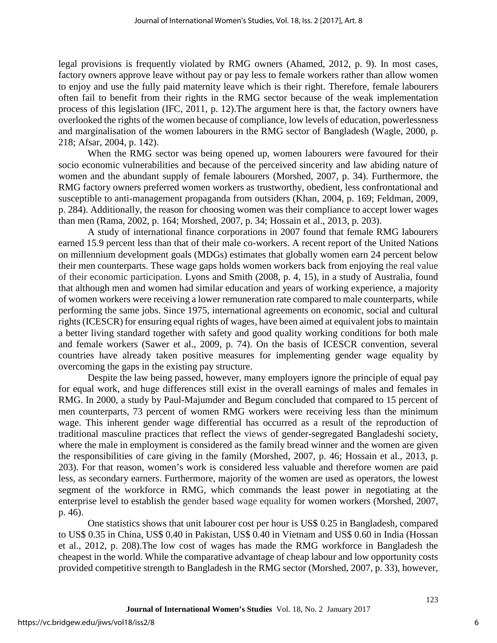legal provisions is frequently violated by RMG owners (Ahamed, 2012, p. 9). In most cases, factory owners approve leave without pay or pay less to female workers rather than allow women to enjoy and use the fully paid maternity leave which is their right. Therefore, female labourers often fail to benefit from their rights in the RMG sector because of the weak implementation process of this legislation (IFC, 2011, p. 12).The argument here is that, the factory owners have overlooked the rights of the women because of compliance, low levels of education, powerlessness and marginalisation of the women labourers in the RMG sector of Bangladesh (Wagle, 2000, p. 218; Afsar, 2004, p. 142).

When the RMG sector was being opened up, women labourers were favoured for their socio economic vulnerabilities and because of the perceived sincerity and law abiding nature of women and the abundant supply of female labourers (Morshed, 2007, p. 34). Furthermore, the RMG factory owners preferred women workers as trustworthy, obedient, less confrontational and susceptible to anti-management propaganda from outsiders (Khan, 2004, p. 169; Feldman, 2009, p. 284). Additionally, the reason for choosing women was their compliance to accept lower wages than men (Rama, 2002, p. 164; Morshed, 2007, p. 34; Hossain et al., 2013, p. 203).

A study of international finance corporations in 2007 found that female RMG labourers earned 15.9 percent less than that of their male co-workers. A recent report of the United Nations on millennium development goals (MDGs) estimates that globally women earn 24 percent below their men counterparts. These wage gaps holds women workers back from enjoying the real value of their economic participation. Lyons and Smith (2008, p. 4, 15), in a study of Australia, found that although men and women had similar education and years of working experience, a majority of women workers were receiving a lower remuneration rate compared to male counterparts, while performing the same jobs. Since 1975, international agreements on economic, social and cultural rights (ICESCR) for ensuring equal rights of wages, have been aimed at equivalent jobs to maintain a better living standard together with safety and good quality working conditions for both male and female workers (Sawer et al., 2009, p. 74). On the basis of ICESCR convention, several countries have already taken positive measures for implementing gender wage equality by overcoming the gaps in the existing pay structure.

Despite the law being passed, however, many employers ignore the principle of equal pay for equal work, and huge differences still exist in the overall earnings of males and females in RMG. In 2000, a study by Paul-Majumder and Begum concluded that compared to 15 percent of men counterparts, 73 percent of women RMG workers were receiving less than the minimum wage. This inherent gender wage differential has occurred as a result of the reproduction of traditional masculine practices that reflect the views of gender-segregated Bangladeshi society, where the male in employment is considered as the family bread winner and the women are given the responsibilities of care giving in the family (Morshed, 2007, p. 46; Hossain et al., 2013, p. 203). For that reason, women's work is considered less valuable and therefore women are paid less, as secondary earners. Furthermore, majority of the women are used as operators, the lowest segment of the workforce in RMG, which commands the least power in negotiating at the enterprise level to establish the gender based wage equality for women workers (Morshed, 2007, p. 46).

One statistics shows that unit labourer cost per hour is US\$ 0.25 in Bangladesh, compared to US\$ 0.35 in China, US\$ 0.40 in Pakistan, US\$ 0.40 in Vietnam and US\$ 0.60 in India (Hossan et al., 2012, p. 208).The low cost of wages has made the RMG workforce in Bangladesh the cheapest in the world. While the comparative advantage of cheap labour and low opportunity costs provided competitive strength to Bangladesh in the RMG sector (Morshed, 2007, p. 33), however,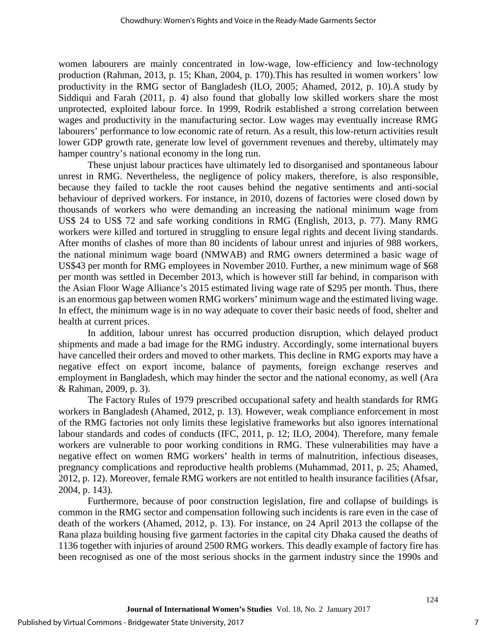women labourers are mainly concentrated in low-wage, low-efficiency and low-technology production (Rahman, 2013, p. 15; Khan, 2004, p. 170).This has resulted in women workers' low productivity in the RMG sector of Bangladesh (ILO, 2005; Ahamed, 2012, p. 10).A study by Siddiqui and Farah (2011, p. 4) also found that globally low skilled workers share the most unprotected, exploited labour force. In 1999, Rodrik established a strong correlation between wages and productivity in the manufacturing sector. Low wages may eventually increase RMG labourers' performance to low economic rate of return. As a result, this low-return activities result lower GDP growth rate, generate low level of government revenues and thereby, ultimately may hamper country's national economy in the long run.

These unjust labour practices have ultimately led to disorganised and spontaneous labour unrest in RMG. Nevertheless, the negligence of policy makers, therefore, is also responsible, because they failed to tackle the root causes behind the negative sentiments and anti-social behaviour of deprived workers. For instance, in 2010, dozens of factories were closed down by thousands of workers who were demanding an increasing the national minimum wage from US\$ 24 to US\$ 72 and safe working conditions in RMG (English, 2013, p. 77). Many RMG workers were killed and tortured in struggling to ensure legal rights and decent living standards. After months of clashes of more than 80 incidents of labour unrest and injuries of 988 workers, the national minimum wage board (NMWAB) and RMG owners determined a basic wage of US\$43 per month for RMG employees in November 2010. Further, a new minimum wage of \$68 per month was settled in December 2013, which is however still far behind, in comparison with the Asian Floor Wage Alliance's 2015 estimated living wage rate of \$295 per month. Thus, there is an enormous gap between women RMG workers' minimum wage and the estimated living wage. In effect, the minimum wage is in no way adequate to cover their basic needs of food, shelter and health at current prices.

In addition, labour unrest has occurred production disruption, which delayed product shipments and made a bad image for the RMG industry. Accordingly, some international buyers have cancelled their orders and moved to other markets. This decline in RMG exports may have a negative effect on export income, balance of payments, foreign exchange reserves and employment in Bangladesh, which may hinder the sector and the national economy, as well (Ara & Rahman, 2009, p. 3).

The Factory Rules of 1979 prescribed occupational safety and health standards for RMG workers in Bangladesh (Ahamed, 2012, p. 13). However, weak compliance enforcement in most of the RMG factories not only limits these legislative frameworks but also ignores international labour standards and codes of conducts (IFC, 2011, p. 12; ILO, 2004). Therefore, many female workers are vulnerable to poor working conditions in RMG. These vulnerabilities may have a negative effect on women RMG workers' health in terms of malnutrition, infectious diseases, pregnancy complications and reproductive health problems (Muhammad, 2011, p. 25; Ahamed, 2012, p. 12). Moreover, female RMG workers are not entitled to health insurance facilities (Afsar, 2004, p. 143).

Furthermore, because of poor construction legislation, fire and collapse of buildings is common in the RMG sector and compensation following such incidents is rare even in the case of death of the workers (Ahamed, 2012, p. 13). For instance, on 24 April 2013 the collapse of the Rana plaza building housing five garment factories in the capital city Dhaka caused the deaths of 1136 together with injuries of around 2500 RMG workers. This deadly example of factory fire has been recognised as one of the most serious shocks in the garment industry since the 1990s and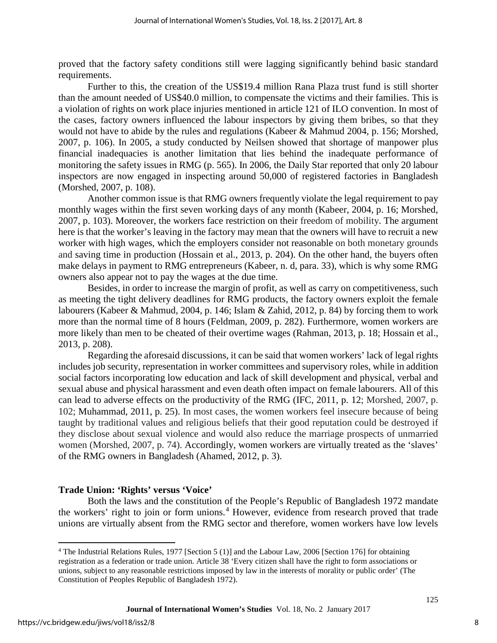proved that the factory safety conditions still were lagging significantly behind basic standard requirements.

Further to this, the creation of the US\$19.4 million Rana Plaza trust fund is still shorter than the amount needed of US\$40.0 million, to compensate the victims and their families. This is a violation of rights on work place injuries mentioned in article 121 of ILO convention. In most of the cases, factory owners influenced the labour inspectors by giving them bribes, so that they would not have to abide by the rules and regulations (Kabeer & Mahmud 2004, p. 156; Morshed, 2007, p. 106). In 2005, a study conducted by Neilsen showed that shortage of manpower plus financial inadequacies is another limitation that lies behind the inadequate performance of monitoring the safety issues in RMG (p. 565). In 2006, the Daily Star reported that only 20 labour inspectors are now engaged in inspecting around 50,000 of registered factories in Bangladesh (Morshed, 2007, p. 108).

Another common issue is that RMG owners frequently violate the legal requirement to pay monthly wages within the first seven working days of any month (Kabeer, 2004, p. 16; Morshed, 2007, p. 103). Moreover, the workers face restriction on their freedom of mobility. The argument here is that the worker's leaving in the factory may mean that the owners will have to recruit a new worker with high wages, which the employers consider not reasonable on both monetary grounds and saving time in production (Hossain et al., 2013, p. 204). On the other hand, the buyers often make delays in payment to RMG entrepreneurs (Kabeer, n. d, para. 33), which is why some RMG owners also appear not to pay the wages at the due time.

Besides, in order to increase the margin of profit, as well as carry on competitiveness, such as meeting the tight delivery deadlines for RMG products, the factory owners exploit the female labourers (Kabeer & Mahmud, 2004, p. 146; Islam & Zahid, 2012, p. 84) by forcing them to work more than the normal time of 8 hours (Feldman, 2009, p. 282). Furthermore, women workers are more likely than men to be cheated of their overtime wages (Rahman, 2013, p. 18; Hossain et al., 2013, p. 208).

Regarding the aforesaid discussions, it can be said that women workers' lack of legal rights includes job security, representation in worker committees and supervisory roles, while in addition social factors incorporating low education and lack of skill development and physical, verbal and sexual abuse and physical harassment and even death often impact on female labourers. All of this can lead to adverse effects on the productivity of the RMG (IFC, 2011, p. 12; Morshed, 2007, p. 102; Muhammad, 2011, p. 25). In most cases, the women workers feel insecure because of being taught by traditional values and religious beliefs that their good reputation could be destroyed if they disclose about sexual violence and would also reduce the marriage prospects of unmarried women (Morshed, 2007, p. 74). Accordingly, women workers are virtually treated as the 'slaves' of the RMG owners in Bangladesh (Ahamed, 2012, p. 3).

## **Trade Union: 'Rights' versus 'Voice'**

Both the laws and the constitution of the People's Republic of Bangladesh 1972 mandate the workers' right to join or form unions. [4](#page-8-0) However, evidence from research proved that trade unions are virtually absent from the RMG sector and therefore, women workers have low levels

l

<span id="page-8-0"></span><sup>4</sup> The Industrial Relations Rules, 1977 [Section 5 (1)] and the Labour Law, 2006 [Section 176] for obtaining registration as a federation or trade union. Article 38 'Every citizen shall have the right to form associations or unions, subject to any reasonable restrictions imposed by law in the interests of morality or public order' (The Constitution of Peoples Republic of Bangladesh 1972).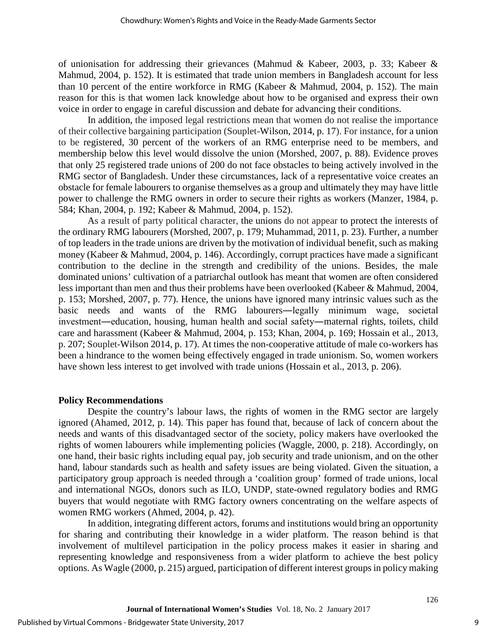of unionisation for addressing their grievances (Mahmud & Kabeer, 2003, p. 33; Kabeer & Mahmud, 2004, p. 152). It is estimated that trade union members in Bangladesh account for less than 10 percent of the entire workforce in RMG (Kabeer & Mahmud, 2004, p. 152). The main reason for this is that women lack knowledge about how to be organised and express their own voice in order to engage in careful discussion and debate for advancing their conditions.

In addition, the imposed legal restrictions mean that women do not realise the importance of their collective bargaining participation (Souplet-Wilson, 2014, p. 17). For instance, for a union to be registered, 30 percent of the workers of an RMG enterprise need to be members, and membership below this level would dissolve the union (Morshed, 2007, p. 88). Evidence proves that only 25 registered trade unions of 200 do not face obstacles to being actively involved in the RMG sector of Bangladesh. Under these circumstances, lack of a representative voice creates an obstacle for female labourers to organise themselves as a group and ultimately they may have little power to challenge the RMG owners in order to secure their rights as workers (Manzer, 1984, p. 584; Khan, 2004, p. 192; Kabeer & Mahmud, 2004, p. 152).

As a result of party political character, the unions do not appear to protect the interests of the ordinary RMG labourers (Morshed, 2007, p. 179; Muhammad, 2011, p. 23). Further, a number of top leaders in the trade unions are driven by the motivation of individual benefit, such as making money (Kabeer & Mahmud, 2004, p. 146). Accordingly, corrupt practices have made a significant contribution to the decline in the strength and credibility of the unions. Besides, the male dominated unions' cultivation of a patriarchal outlook has meant that women are often considered less important than men and thus their problems have been overlooked (Kabeer & Mahmud, 2004, p. 153; Morshed, 2007, p. 77). Hence, the unions have ignored many intrinsic values such as the basic needs and wants of the RMG labourers―legally minimum wage, societal investment―education, housing, human health and social safety―maternal rights, toilets, child care and harassment (Kabeer & Mahmud, 2004, p. 153; Khan, 2004, p. 169; Hossain et al., 2013, p. 207; Souplet-Wilson 2014, p. 17). At times the non-cooperative attitude of male co-workers has been a hindrance to the women being effectively engaged in trade unionism. So, women workers have shown less interest to get involved with trade unions (Hossain et al., 2013, p. 206).

#### **Policy Recommendations**

Despite the country's labour laws, the rights of women in the RMG sector are largely ignored (Ahamed, 2012, p. 14). This paper has found that, because of lack of concern about the needs and wants of this disadvantaged sector of the society, policy makers have overlooked the rights of women labourers while implementing policies (Waggle, 2000, p. 218). Accordingly, on one hand, their basic rights including equal pay, job security and trade unionism, and on the other hand, labour standards such as health and safety issues are being violated. Given the situation, a participatory group approach is needed through a 'coalition group' formed of trade unions, local and international NGOs, donors such as ILO, UNDP, state-owned regulatory bodies and RMG buyers that would negotiate with RMG factory owners concentrating on the welfare aspects of women RMG workers (Ahmed, 2004, p. 42).

In addition, integrating different actors, forums and institutions would bring an opportunity for sharing and contributing their knowledge in a wider platform. The reason behind is that involvement of multilevel participation in the policy process makes it easier in sharing and representing knowledge and responsiveness from a wider platform to achieve the best policy options. As Wagle (2000, p. 215) argued, participation of different interest groups in policy making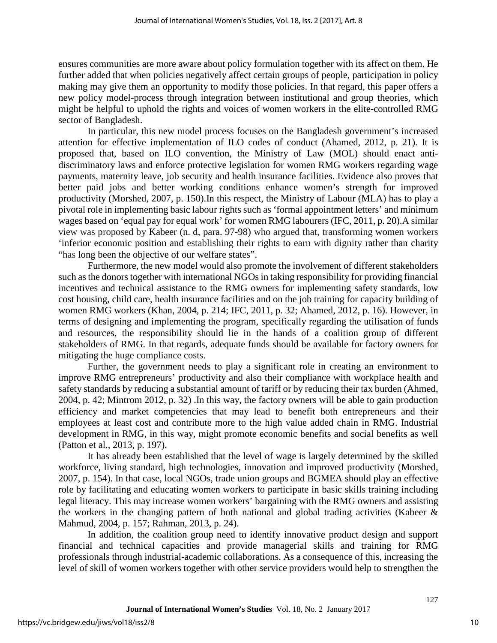ensures communities are more aware about policy formulation together with its affect on them. He further added that when policies negatively affect certain groups of people, participation in policy making may give them an opportunity to modify those policies. In that regard, this paper offers a new policy model-process through integration between institutional and group theories, which might be helpful to uphold the rights and voices of women workers in the elite-controlled RMG sector of Bangladesh.

In particular, this new model process focuses on the Bangladesh government's increased attention for effective implementation of ILO codes of conduct (Ahamed, 2012, p. 21). It is proposed that, based on ILO convention, the Ministry of Law (MOL) should enact antidiscriminatory laws and enforce protective legislation for women RMG workers regarding wage payments, maternity leave, job security and health insurance facilities. Evidence also proves that better paid jobs and better working conditions enhance women's strength for improved productivity (Morshed, 2007, p. 150).In this respect, the Ministry of Labour (MLA) has to play a pivotal role in implementing basic labour rights such as 'formal appointment letters' and minimum wages based on 'equal pay for equal work' for women RMG labourers (IFC, 2011, p. 20).A similar view was proposed by Kabeer (n. d, para. 97-98) who argued that, transforming women workers 'inferior economic position and establishing their rights to earn with dignity rather than charity "has long been the objective of our welfare states".

Furthermore, the new model would also promote the involvement of different stakeholders such as the donors together with international NGOs in taking responsibility for providing financial incentives and technical assistance to the RMG owners for implementing safety standards, low cost housing, child care, health insurance facilities and on the job training for capacity building of women RMG workers (Khan, 2004, p. 214; IFC, 2011, p. 32; Ahamed, 2012, p. 16). However, in terms of designing and implementing the program, specifically regarding the utilisation of funds and resources, the responsibility should lie in the hands of a coalition group of different stakeholders of RMG. In that regards, adequate funds should be available for factory owners for mitigating the huge compliance costs.

Further, the government needs to play a significant role in creating an environment to improve RMG entrepreneurs' productivity and also their compliance with workplace health and safety standards by reducing a substantial amount of tariff or by reducing their tax burden (Ahmed, 2004, p. 42; Mintrom 2012, p. 32) .In this way, the factory owners will be able to gain production efficiency and market competencies that may lead to benefit both entrepreneurs and their employees at least cost and contribute more to the high value added chain in RMG. Industrial development in RMG, in this way, might promote economic benefits and social benefits as well (Patton et al., 2013, p. 197).

It has already been established that the level of wage is largely determined by the skilled workforce, living standard, high technologies, innovation and improved productivity (Morshed, 2007, p. 154). In that case, local NGOs, trade union groups and BGMEA should play an effective role by facilitating and educating women workers to participate in basic skills training including legal literacy. This may increase women workers' bargaining with the RMG owners and assisting the workers in the changing pattern of both national and global trading activities (Kabeer & Mahmud, 2004, p. 157; Rahman, 2013, p. 24).

In addition, the coalition group need to identify innovative product design and support financial and technical capacities and provide managerial skills and training for RMG professionals through industrial-academic collaborations. As a consequence of this, increasing the level of skill of women workers together with other service providers would help to strengthen the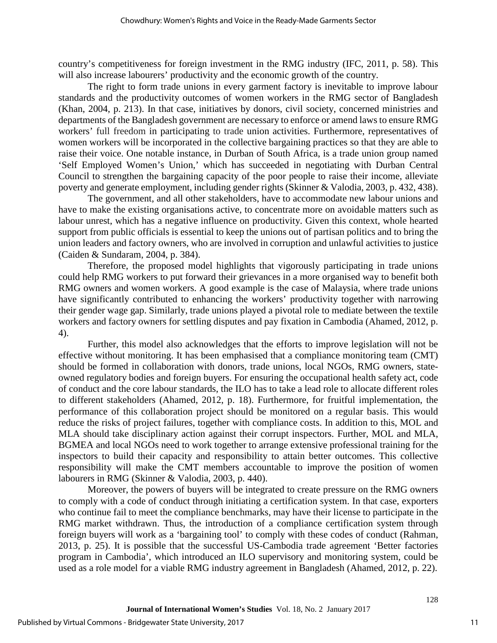country's competitiveness for foreign investment in the RMG industry (IFC, 2011, p. 58). This will also increase labourers' productivity and the economic growth of the country.

The right to form trade unions in every garment factory is inevitable to improve labour standards and the productivity outcomes of women workers in the RMG sector of Bangladesh (Khan, 2004, p. 213). In that case, initiatives by donors, civil society, concerned ministries and departments of the Bangladesh government are necessary to enforce or amend laws to ensure RMG workers' full freedom in participating to trade union activities. Furthermore, representatives of women workers will be incorporated in the collective bargaining practices so that they are able to raise their voice. One notable instance, in Durban of South Africa, is a trade union group named 'Self Employed Women's Union,' which has succeeded in negotiating with Durban Central Council to strengthen the bargaining capacity of the poor people to raise their income, alleviate poverty and generate employment, including gender rights (Skinner & Valodia, 2003, p. 432, 438).

The government, and all other stakeholders, have to accommodate new labour unions and have to make the existing organisations active, to concentrate more on avoidable matters such as labour unrest, which has a negative influence on productivity. Given this context, whole hearted support from public officials is essential to keep the unions out of partisan politics and to bring the union leaders and factory owners, who are involved in corruption and unlawful activities to justice (Caiden & Sundaram, 2004, p. 384).

Therefore, the proposed model highlights that vigorously participating in trade unions could help RMG workers to put forward their grievances in a more organised way to benefit both RMG owners and women workers. A good example is the case of Malaysia, where trade unions have significantly contributed to enhancing the workers' productivity together with narrowing their gender wage gap. Similarly, trade unions played a pivotal role to mediate between the textile workers and factory owners for settling disputes and pay fixation in Cambodia (Ahamed, 2012, p. 4).

Further, this model also acknowledges that the efforts to improve legislation will not be effective without monitoring. It has been emphasised that a compliance monitoring team (CMT) should be formed in collaboration with donors, trade unions, local NGOs, RMG owners, stateowned regulatory bodies and foreign buyers. For ensuring the occupational health safety act, code of conduct and the core labour standards, the ILO has to take a lead role to allocate different roles to different stakeholders (Ahamed, 2012, p. 18). Furthermore, for fruitful implementation, the performance of this collaboration project should be monitored on a regular basis. This would reduce the risks of project failures, together with compliance costs. In addition to this, MOL and MLA should take disciplinary action against their corrupt inspectors. Further, MOL and MLA, BGMEA and local NGOs need to work together to arrange extensive professional training for the inspectors to build their capacity and responsibility to attain better outcomes. This collective responsibility will make the CMT members accountable to improve the position of women labourers in RMG (Skinner & Valodia, 2003, p. 440).

Moreover, the powers of buyers will be integrated to create pressure on the RMG owners to comply with a code of conduct through initiating a certification system. In that case, exporters who continue fail to meet the compliance benchmarks, may have their license to participate in the RMG market withdrawn. Thus, the introduction of a compliance certification system through foreign buyers will work as a 'bargaining tool' to comply with these codes of conduct (Rahman, 2013, p. 25). It is possible that the successful US-Cambodia trade agreement 'Better factories program in Cambodia', which introduced an ILO supervisory and monitoring system, could be used as a role model for a viable RMG industry agreement in Bangladesh (Ahamed, 2012, p. 22).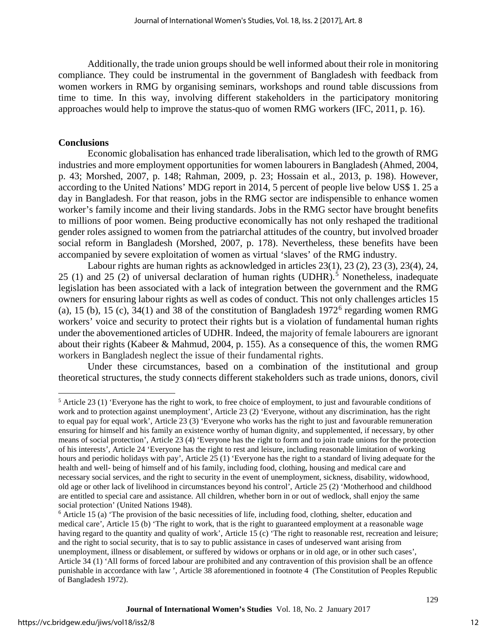Additionally, the trade union groups should be well informed about their role in monitoring compliance. They could be instrumental in the government of Bangladesh with feedback from women workers in RMG by organising seminars, workshops and round table discussions from time to time. In this way, involving different stakeholders in the participatory monitoring approaches would help to improve the status-quo of women RMG workers (IFC, 2011, p. 16).

#### **Conclusions**

Economic globalisation has enhanced trade liberalisation, which led to the growth of RMG industries and more employment opportunities for women labourers in Bangladesh (Ahmed, 2004, p. 43; Morshed, 2007, p. 148; Rahman, 2009, p. 23; Hossain et al., 2013, p. 198). However, according to the United Nations' MDG report in 2014, 5 percent of people live below US\$ 1. 25 a day in Bangladesh. For that reason, jobs in the RMG sector are indispensible to enhance women worker's family income and their living standards. Jobs in the RMG sector have brought benefits to millions of poor women. Being productive economically has not only reshaped the traditional gender roles assigned to women from the patriarchal attitudes of the country, but involved broader social reform in Bangladesh (Morshed, 2007, p. 178). Nevertheless, these benefits have been accompanied by severe exploitation of women as virtual 'slaves' of the RMG industry.

Labour rights are human rights as acknowledged in articles 23(1), 23 (2), 23 (3), 23(4), 24, 25 (1) and 25 (2) of universal declaration of human rights (UDHR). [5](#page-12-0) Nonetheless, inadequate legislation has been associated with a lack of integration between the government and the RMG owners for ensuring labour rights as well as codes of conduct. This not only challenges articles 15 (a), 15 (b), 15 (c), 34(1) and 38 of the constitution of Bangladesh  $1972^6$  $1972^6$  regarding women RMG workers' voice and security to protect their rights but is a violation of fundamental human rights under the abovementioned articles of UDHR. Indeed, the majority of female labourers are ignorant about their rights (Kabeer & Mahmud, 2004, p. 155). As a consequence of this, the women RMG workers in Bangladesh neglect the issue of their fundamental rights.

Under these circumstances, based on a combination of the institutional and group theoretical structures, the study connects different stakeholders such as trade unions, donors, civil

 $\overline{\phantom{a}}$ 

<span id="page-12-0"></span> $<sup>5</sup>$  Article 23 (1) 'Everyone has the right to work, to free choice of employment, to just and favourable conditions of</sup> work and to protection against unemployment', Article 23 (2) 'Everyone, without any discrimination, has the right to equal pay for equal work', Article 23 (3) 'Everyone who works has the right to just and favourable remuneration ensuring for himself and his family an existence worthy of human dignity, and supplemented, if necessary, by other means of social protection', Article 23 (4) 'Everyone has the right to form and to join trade unions for the protection of his interests', Article 24 'Everyone has the right to rest and leisure, including reasonable limitation of working hours and periodic holidays with pay', Article 25 (1) 'Everyone has the right to a standard of living adequate for the health and well- being of himself and of his family, including food, clothing, housing and medical care and necessary social services, and the right to security in the event of unemployment, sickness, disability, widowhood, old age or other lack of livelihood in circumstances beyond his control', Article 25 (2) 'Motherhood and childhood are entitled to special care and assistance. All children, whether born in or out of wedlock, shall enjoy the same social protection' (United Nations 1948).

<span id="page-12-1"></span> $6$  Article 15 (a) 'The provision of the basic necessities of life, including food, clothing, shelter, education and medical care', Article 15 (b) 'The right to work, that is the right to guaranteed employment at a reasonable wage having regard to the quantity and quality of work', Article 15 (c) 'The right to reasonable rest, recreation and leisure; and the right to social security, that is to say to public assistance in cases of undeserved want arising from unemployment, illness or disablement, or suffered by widows or orphans or in old age, or in other such cases', Article 34 (1) 'All forms of forced labour are prohibited and any contravention of this provision shall be an offence punishable in accordance with law ', Article 38 aforementioned in footnote 4 (The Constitution of Peoples Republic of Bangladesh 1972).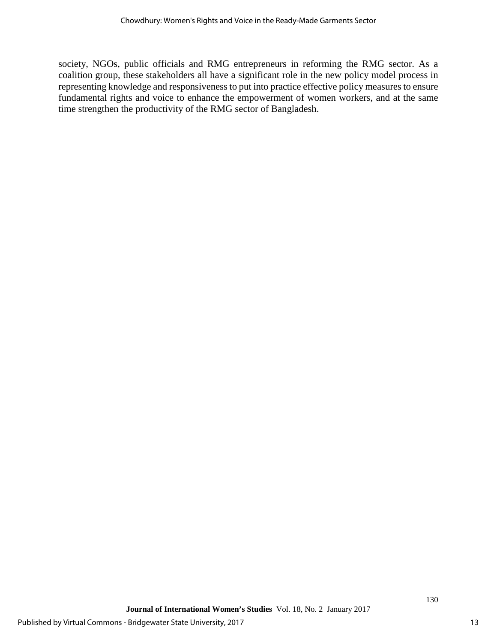society, NGOs, public officials and RMG entrepreneurs in reforming the RMG sector. As a coalition group, these stakeholders all have a significant role in the new policy model process in representing knowledge and responsiveness to put into practice effective policy measures to ensure fundamental rights and voice to enhance the empowerment of women workers, and at the same time strengthen the productivity of the RMG sector of Bangladesh.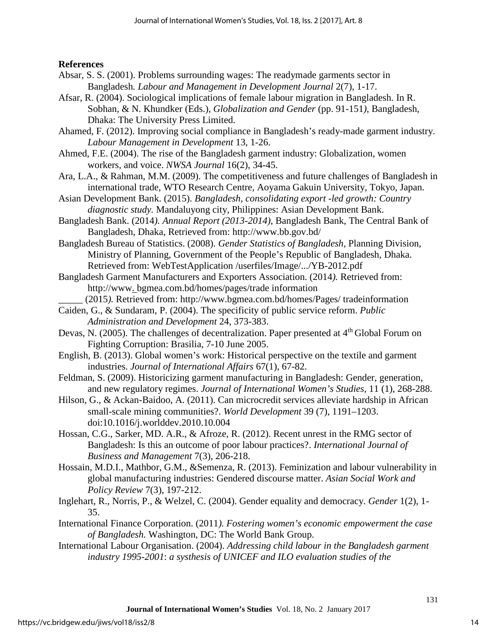**References** 

- Absar, S. S. (2001). Problems surrounding wages: The readymade garments sector in Bangladesh*. Labour and Management in Development Journal* 2(7), 1*-*17.
- Afsar, R. (2004). Sociological implications of female labour migration in Bangladesh. In R. Sobhan, & N. Khundker (Eds.), *Globalization and Gender* (pp. 91-151*)*, Bangladesh, Dhaka: The University Press Limited.
- Ahamed, F. (2012). Improving social compliance in Bangladesh's ready-made garment industry. *Labour Management in Development* 13, 1-26.
- Ahmed, F.E. (2004). The rise of the Bangladesh garment industry: Globalization, women workers, and voice. *NWSA Journal* 16(2), 34-45.
- Ara, L.A., & Rahman, M.M. (2009). The competitiveness and future challenges of Bangladesh in international trade, WTO Research Centre, Aoyama Gakuin University, Tokyo, Japan.
- Asian Development Bank. (2015). *Bangladesh, consolidating export -led growth: Country diagnostic study.* Mandaluyong city, Philippines: Asian Development Bank.
- Bangladesh Bank. (2014*). Annual Report (2013*-*2014)*, Bangladesh Bank, The Central Bank of Bangladesh, Dhaka, Retrieved from: http://www.bb.gov.bd/
- Bangladesh Bureau of Statistics. (2008). *Gender Statistics of Bangladesh,* Planning Division, Ministry of Planning, Government of the People's Republic of Bangladesh, Dhaka. Retrieved from: WebTestApplication /userfiles/Image/.../YB-2012.pdf
- Bangladesh Garment Manufacturers and Exporters Association. (2014*).* Retrieved from: http://www. bgmea.com.bd/homes/pages/trade information
	- \_\_\_\_\_ (2015*).* Retrieved from: http://www.bgmea.com.bd/homes/Pages/ tradeinformation
- Caiden, G., & Sundaram, P. (2004). The specificity of public service reform. *Public Administration and Development* 24, 373-383.
- Devas, N. (2005). The challenges of decentralization. Paper presented at 4<sup>th</sup> Global Forum on Fighting Corruption: Brasilia, 7-10 June 2005.
- English, B. (2013). Global women's work: Historical perspective on the textile and garment industries. *Journal of International Affairs* 67(1), 67-82.
- Feldman, S. (2009). Historicizing garment manufacturing in Bangladesh: Gender, generation, and new regulatory regimes. *Journal of International Women's Studies,* 11 (1), 268-288.
- Hilson, G., & Ackan-Baidoo, A. (2011). Can microcredit services alleviate hardship in African small-scale mining communities?. *World Development* 39 (7), 1191–1203. doi:10.1016/j.worlddev.2010.10.004
- Hossan, C.G., Sarker, MD. A.R., & Afroze, R. (2012). Recent unrest in the RMG sector of Bangladesh: Is this an outcome of poor labour practices?. *International Journal of Business and Management* 7(3), 206-218.
- Hossain, M.D.I., Mathbor, G.M., &Semenza, R. (2013). Feminization and labour vulnerability in global manufacturing industries: Gendered discourse matter. *Asian Social Work and Policy Review* 7(3), 197-212.
- Inglehart, R., Norris, P., & Welzel, C. (2004). Gender equality and democracy. *Gender* 1(2), 1- 35.
- International Finance Corporation. (2011*). Fostering women's economic empowerment the case of Bangladesh.* Washington, DC: The World Bank Group.
- International Labour Organisation. (2004). *Addressing child labour in the Bangladesh garment industry 1995-2001*: *a systhesis of UNICEF and ILO evaluation studies of the*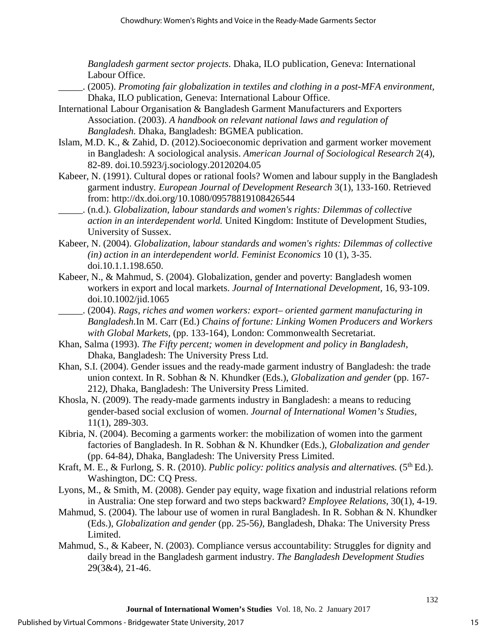*Bangladesh garment sector projects*. Dhaka, ILO publication, Geneva: International Labour Office.

- \_\_\_\_\_. (2005). *Promoting fair globalization in textiles and clothing in a post-MFA environment,* Dhaka, ILO publication, Geneva: International Labour Office.
- International Labour Organisation & Bangladesh Garment Manufacturers and Exporters Association. (2003). *A handbook on relevant national laws and regulation of Bangladesh.* Dhaka, Bangladesh: BGMEA publication.
- Islam, M.D. K., & Zahid, D. (2012).Socioeconomic deprivation and garment worker movement in Bangladesh: A sociological analysis. *American Journal of Sociological Research* 2(4), 82-89. doi.10.5923/j.sociology.20120204.05
- Kabeer, N. (1991). Cultural dopes or rational fools? Women and labour supply in the Bangladesh garment industry*. European Journal of Development Research* 3(1), 133-160. Retrieved from: http://dx.doi.org/10.1080/09578819108426544
- \_\_\_\_\_. (n.d.). *Globalization, labour standards and women's rights: Dilemmas of collective action in an interdependent world.* United Kingdom: Institute of Development Studies, University of Sussex.
- Kabeer, N. (2004). *Globalization, labour standards and women's rights: Dilemmas of collective (in) action in an interdependent world. Feminist Economics* 10 (1), 3-35. doi.10.1.1.198.650.
- Kabeer, N., & Mahmud, S. (2004). Globalization, gender and poverty: Bangladesh women workers in export and local markets. *Journal of International Development,* 16, 93-109. doi.10.1002/jid.1065
- \_\_\_\_\_. (2004). *Rags, riches and women workers: export*– *oriented garment manufacturing in Bangladesh.*In M. Carr (Ed.) *Chains of fortune: Linking Women Producers and Workers with Global Markets*, (pp. 133-164), London: Commonwealth Secretariat.
- Khan, Salma (1993). *The Fifty percent; women in development and policy in Bangladesh,* Dhaka, Bangladesh: The University Press Ltd.
- Khan, S.I. (2004). Gender issues and the ready-made garment industry of Bangladesh: the trade union context. In R. Sobhan & N. Khundker (Eds.), *Globalization and gender* (pp. 167- 212*)*, Dhaka, Bangladesh: The University Press Limited.
- Khosla, N. (2009). The ready-made garments industry in Bangladesh: a means to reducing gender-based social exclusion of women. *Journal of International Women's Studies*, 11(1), 289-303.
- Kibria, N. (2004). Becoming a garments worker: the mobilization of women into the garment factories of Bangladesh. In R. Sobhan & N. Khundker (Eds.), *Globalization and gender* (pp. 64-84*)*, Dhaka, Bangladesh: The University Press Limited.
- Kraft, M. E., & Furlong, S. R. (2010). *Public policy: politics analysis and alternatives.* (5<sup>th</sup> Ed.). Washington, DC: CQ Press.
- Lyons, M., & Smith, M. (2008). Gender pay equity, wage fixation and industrial relations reform in Australia: One step forward and two steps backward? *Employee Relations,* 30(1), 4-19.
- Mahmud, S. (2004). The labour use of women in rural Bangladesh. In R. Sobhan & N. Khundker (Eds.), *Globalization and gender* (pp. 25-56*)*, Bangladesh, Dhaka: The University Press Limited.
- Mahmud, S., & Kabeer, N. (2003). Compliance versus accountability: Struggles for dignity and daily bread in the Bangladesh garment industry. *The Bangladesh Development Studies* 29(3&4), 21-46.